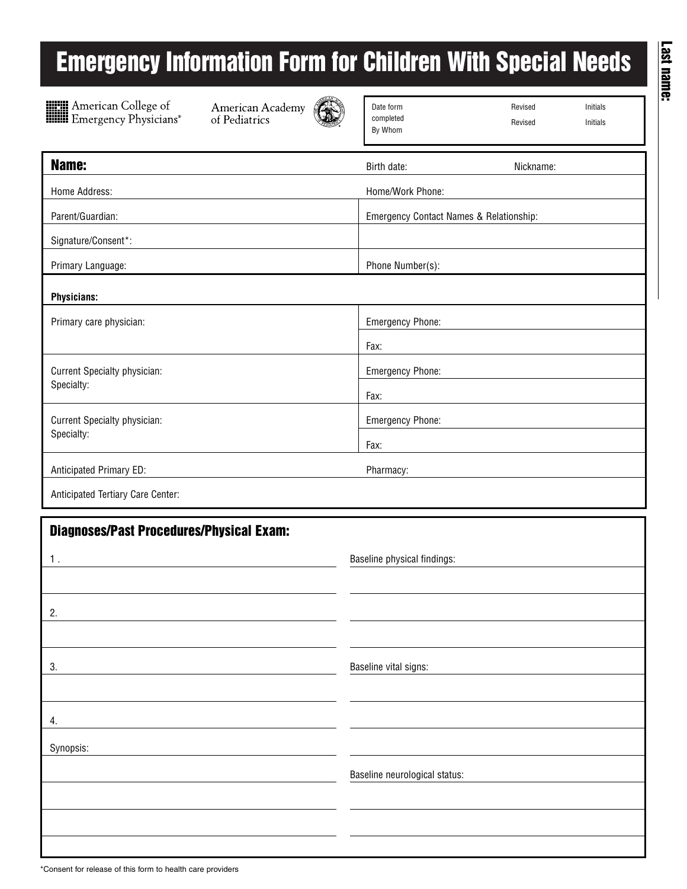## **Emergency Information Form for Children With Special Needs**



**Example 3**<br> **Example 3**<br> **Example 3**<br> **Example 3**<br> **Example 3**<br> **Physicians** 

American Academy of Pediatrics



| Date form |
|-----------|
| completed |
| By Whom   |

Revised Initials

Revised Initials

Last name: **Last name:**

| Name:                             | Birth date:<br>Nickname:                |  |  |  |  |  |  |
|-----------------------------------|-----------------------------------------|--|--|--|--|--|--|
| Home Address:                     | Home/Work Phone:                        |  |  |  |  |  |  |
| Parent/Guardian:                  | Emergency Contact Names & Relationship: |  |  |  |  |  |  |
| Signature/Consent*:               |                                         |  |  |  |  |  |  |
| Primary Language:                 | Phone Number(s):                        |  |  |  |  |  |  |
| <b>Physicians:</b>                |                                         |  |  |  |  |  |  |
| Primary care physician:           | <b>Emergency Phone:</b>                 |  |  |  |  |  |  |
|                                   | Fax:                                    |  |  |  |  |  |  |
| Current Specialty physician:      | <b>Emergency Phone:</b>                 |  |  |  |  |  |  |
| Specialty:                        | Fax:                                    |  |  |  |  |  |  |
| Current Specialty physician:      | <b>Emergency Phone:</b>                 |  |  |  |  |  |  |
| Specialty:                        | Fax:                                    |  |  |  |  |  |  |
| Anticipated Primary ED:           | Pharmacy:                               |  |  |  |  |  |  |
| Anticipated Tertiary Care Center: |                                         |  |  |  |  |  |  |

| <b>Diagnoses/Past Procedures/Physical Exam:</b> |                               |  |  |  |  |  |  |
|-------------------------------------------------|-------------------------------|--|--|--|--|--|--|
| 1.                                              | Baseline physical findings:   |  |  |  |  |  |  |
|                                                 |                               |  |  |  |  |  |  |
| 2.                                              |                               |  |  |  |  |  |  |
|                                                 |                               |  |  |  |  |  |  |
| 3.                                              | Baseline vital signs:         |  |  |  |  |  |  |
|                                                 |                               |  |  |  |  |  |  |
| 4.                                              |                               |  |  |  |  |  |  |
| Synopsis:                                       |                               |  |  |  |  |  |  |
|                                                 | Baseline neurological status: |  |  |  |  |  |  |
|                                                 |                               |  |  |  |  |  |  |
|                                                 |                               |  |  |  |  |  |  |
|                                                 |                               |  |  |  |  |  |  |